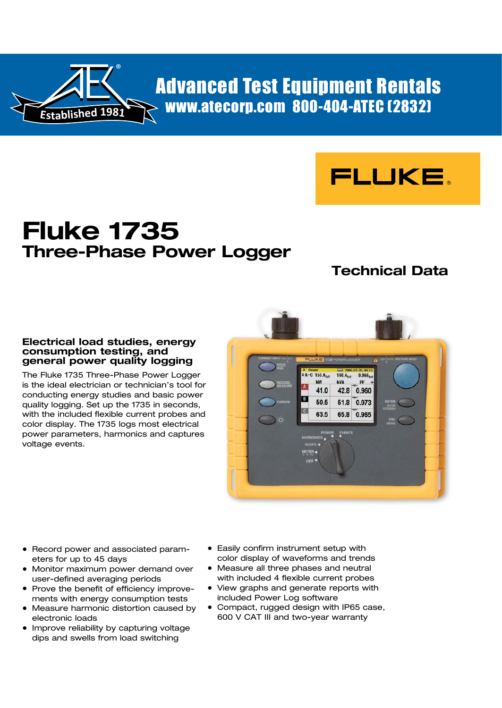

[Adva](http://www.atecorp.com/manufacturers.aspx)[n](http://www.atecorp.com/category/electrical-industrial-facility-testing.aspx)[c](http://www.atecorp.com/products/fluke.aspx)[ed Test Equip](http://www.atecorp.com/category/electrical-industrial-facility-testing.aspx)[ment Rentals](http://www.atecorp.com/media/video/How-to-Fluke-1735.aspx) [www.ateco](http://www.atecorp.com/category/ac-power-consumption-analyzers.aspx)[rp.com 800-](http://www.atecorp.com/category/power-quality-analyzers.aspx)404-ATEC (2832)



# **Fluke 1735 Three-Phase Power Logger**

## **Technical Data**

## **Electrical load studies, energy consumption testing, and general power quality logging**

The Fluke 1735 Three-Phase Power Logger is the ideal electrician or technician's tool for conducting energy studies and basic power quality logging. Set up the 1735 in seconds, with the included flexible current probes and color display. The 1735 logs most electrical power parameters, harmonics and captures voltage events.



- Record power and associated parameters for up to 45 days
- Monitor maximum power demand over user-defined averaging periods
- Prove the benefit of efficiency improvements with energy consumption tests
- Measure harmonic distortion caused by electronic loads
- Improve reliability by capturing voltage dips and swells from load switching
- Easily confirm instrument setup with color display of waveforms and trends
- Measure all three phases and neutral with included 4 flexible current probes
- View graphs and generate reports with included Power Log software
- Compact, rugged design with IP65 case, 600 V CAT III and two-year warranty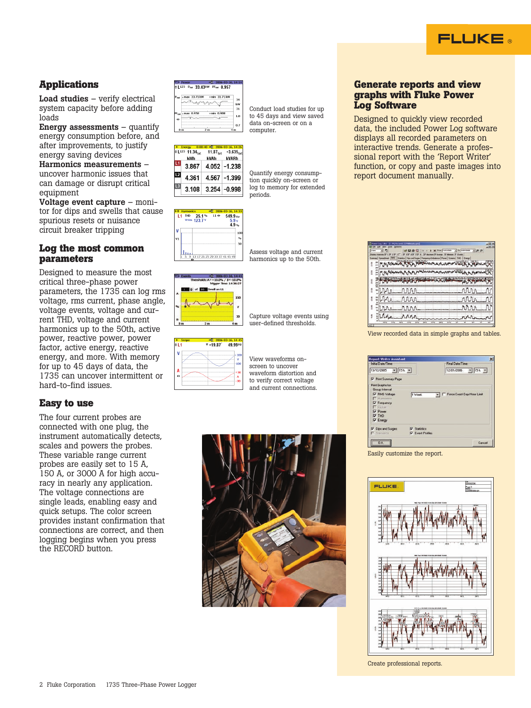

## **Applications**

Load studies – verify electrical system capacity before adding loads

**Energy assessments**  $-$  quantify energy consumption before, and after improvements, to justify energy saving devices Harmonics measurements – uncover harmonic issues that

can damage or disrupt critical equipment

Voltage event capture – monitor for dips and swells that cause spurious resets or nuisance circuit breaker tripping

## **Log the most common parameters**

Designed to measure the most critical three-phase power parameters, the 1735 can log rms voltage, rms current, phase angle, voltage events, voltage and current THD, voltage and current harmonics up to the 50th, active power, reactive power, power factor, active energy, reactive energy, and more. With memory for up to 45 days of data, the 1735 can uncover intermittent or hard-to-find issues.

## **Easy to use**

The four current probes are connected with one plug, the instrument automatically detects, scales and powers the probes. These variable range current probes are easily set to 15 A, 150 A, or 3000 A for high accuracy in nearly any application. The voltage connections are single leads, enabling easy and quick setups. The color screen provides instant confirmation that connections are correct, and then logging begins when you press the RECORD button.

|                  | ≑ L123 Ptot 33.43kW PFtot 0.957 |                 |  |
|------------------|---------------------------------|-----------------|--|
|                  |                                 |                 |  |
| $P_{\text{tot}}$ | Amax 33.71kW + min 31.71kW      |                 |  |
|                  |                                 |                 |  |
|                  |                                 |                 |  |
|                  |                                 |                 |  |
|                  |                                 |                 |  |
|                  | $*$ max 0.958                   | $~rm min$ 0.908 |  |
|                  |                                 |                 |  |

| $11.34_{\text{tot}}$ | $0:00:40 - 2006 - 03 - 16, 14:26$<br>$11.87_{\text{tot}}$ | $-3.635$      |
|----------------------|-----------------------------------------------------------|---------------|
| kWh                  | kVAh                                                      | kVARh         |
| 3.867                |                                                           | 4.052 - 1.238 |
| 4.361                |                                                           | 4.567 - 1.399 |
| 3.108                | $3.254 - 0.998$                                           |               |



Assess voltage and current

Conduct load studies for up to 45 days and view saved data on-screen or on a

Quantify energy consumption quickly on-screen or log to memory for extended

computer.

periods.





View waveforms onscreen to uncover waveform distortion and to verify correct voltage and current connections.

Capture voltage events using user-defined thresholds.



#### **Generate reports and view graphs with Fluke Power Log Software**

Designed to quickly view recorded data, the included Power Log software displays all recorded parameters on interactive trends. Generate a professional report with the 'Report Writer' function, or copy and paste images into report document manually.

|   | del 2299000 data aprè |       |    |
|---|-----------------------|-------|----|
|   | ×<br>٠                | ・「声源  |    |
|   |                       |       |    |
|   |                       | Every |    |
|   |                       |       |    |
|   |                       |       |    |
|   |                       |       |    |
|   | nnn<br>$A \Lambda$    | rin   | M  |
|   | rour<br>٦Ä            | rn    |    |
| š | rnn.<br>đ             | rrn   | Λľ |
|   | <b>CALLA</b><br>۱n    |       |    |
|   | inits<br><b>SHS</b>   |       |    |

View recorded data in simple graphs and tables.

| <b>Leport Writer Assistant</b>                                                                                                                                |                                                | ×                          |
|---------------------------------------------------------------------------------------------------------------------------------------------------------------|------------------------------------------------|----------------------------|
| Initial Date/Time:                                                                                                                                            |                                                | Final Date/Time:           |
| $\times$ 15h $\times$<br>13/12/2005                                                                                                                           |                                                | 12/01/2006 v 15h v         |
| F Print Summary Page                                                                                                                                          |                                                |                            |
| Pint Graphs for<br><b>Group Interval</b><br>V RMS Voltage<br>F Hamoreca<br><b>V</b> Frequency<br>F Ficker<br><b>Power</b><br><b>IV THD</b><br><b>V</b> Energy | 1 Week                                         | Force Exact Day/Hour Limit |
| V Dips and Surges<br>$\Gamma$ Transents                                                                                                                       | <b>V</b> Statistics<br><b>W</b> Event Profiles |                            |
| <b>OK</b>                                                                                                                                                     |                                                | Elenced                    |

Easily customize the report.



Create professional reports.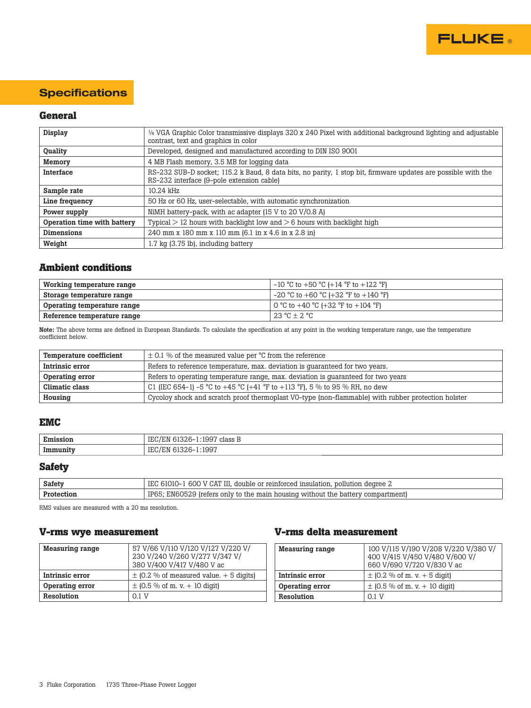

## **Specifications**

## **General**

| Display                     | $\frac{1}{4}$ VGA Graphic Color transmissive displays 320 x 240 Pixel with additional background lighting and adjustable<br>contrast, text and graphics in color |  |
|-----------------------------|------------------------------------------------------------------------------------------------------------------------------------------------------------------|--|
| Quality                     | Developed, designed and manufactured according to DIN ISO 9001                                                                                                   |  |
| Memory                      | 4 MB Flash memory, 3.5 MB for logging data                                                                                                                       |  |
| Interface                   | RS-232 SUB-D socket; 115.2 k Baud, 8 data bits, no parity, 1 stop bit, firmware updates are possible with the<br>RS-232 interface (9-pole extension cable)       |  |
| Sample rate                 | $10.24$ kHz                                                                                                                                                      |  |
| Line frequency              | 50 Hz or 60 Hz, user-selectable, with automatic synchronization                                                                                                  |  |
| Power supply                | NiMH battery-pack, with ac adapter (15 V to 20 V/0.8 A)                                                                                                          |  |
| Operation time with battery | Typical $> 12$ hours with backlight low and $> 6$ hours with backlight high                                                                                      |  |
| <b>Dimensions</b>           | 240 mm x 180 mm x 110 mm (6.1 in x 4.6 in x 2.8 in)                                                                                                              |  |
| Weight                      | 1.7 kg (3.75 lb), including battery                                                                                                                              |  |

## **Ambient conditions**

| Working temperature range   | $-10$ °C to +50 °C (+14 °F to +122 °F)        |
|-----------------------------|-----------------------------------------------|
| Storage temperature range   | $-20$ °C to $+60$ °C ( $+32$ °F to $+140$ °F) |
| Operating temperature range | 0 °C to +40 °C (+32 °F to +104 °F)            |
| Reference temperature range | $123 \text{ °C} + 2 \text{ °C}$               |

Note: The above terms are defined in European Standards. To calculate the specification at any point in the working temperature range, use the temperature coefficient below.

| <b>Temperature coefficient</b> | $\pm$ 0.1 % of the measured value per °C from the reference                                        |
|--------------------------------|----------------------------------------------------------------------------------------------------|
| Intrinsic error                | Refers to reference temperature, max. deviation is guaranteed for two years.                       |
| Operating error                | Refers to operating temperature range, max. deviation is guaranteed for two years                  |
| Climatic class                 | C1 (IEC 654-1) -5 °C to +45 °C (+41 °F to +113 °F), 5 % to 95 % RH, no dew                         |
| Housing                        | Cycoloy shock and scratch proof thermoplast VO-type (non-flammable) with rubber protection holster |

#### **EMC**

| Emission | class B<br>199<br>. .<br>$\cdot$ IV<br>                   |  |
|----------|-----------------------------------------------------------|--|
| Immunit  | 1997<br><b>TTI</b><br>. .<br>. I M<br>∘ ب⊔⊥<br>ັບມັບ<br>. |  |

## **Safety**

| Safety     | IEC<br>) V CAT III, double or reinforced insulation,<br>61010-<br>pollution degree 2<br>600 |
|------------|---------------------------------------------------------------------------------------------|
| Protection | IDAI<br>. EN60529 (refers only to the main $\gamma$<br>i housing without the battery        |

RMS values are measured with a 20 ms resolution.

### **V-rms wye measurement**

| <b>Measuring range</b> | 57 V/66 V/110 V/120 V/127 V/220 V/<br>230 V/240 V/260 V/277 V/347 V/<br>380 V/400 V/417 V/480 V ac |
|------------------------|----------------------------------------------------------------------------------------------------|
| Intrinsic error        | $\pm$ (0.2 % of measured value. + 5 digits)                                                        |
| Operating error        | $\pm$ (0.5 % of m. v. + 10 digit)                                                                  |
| Resolution             | $0.1$ V                                                                                            |

## **V-rms delta measurement**

| <b>Measuring range</b> | 100 V/115 V/190 V/208 V/220 V/380 V/<br>400 V/415 V/450 V/480 V/600 V/<br>660 V/690 V/720 V/830 V ac |
|------------------------|------------------------------------------------------------------------------------------------------|
| Intrinsic error        | $\pm$ (0.2 % of m. v. + 5 digit)                                                                     |
| Operating error        | $\pm$ (0.5 % of m. v. + 10 digit)                                                                    |
| Resolution             | $0.1$ V                                                                                              |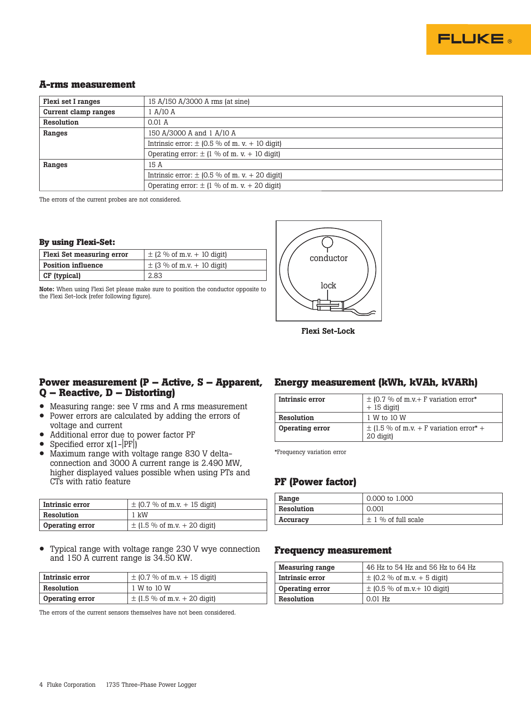

#### **A-rms measurement**

| 15 A/150 A/3000 A rms (at sine)                    |
|----------------------------------------------------|
| 1 A/10 A                                           |
| $0.01$ A                                           |
| 150 A/3000 A and 1 A/10 A                          |
| Intrinsic error: $\pm$ (0.5 % of m. v. + 10 digit) |
| Operating error: $\pm$ (1 % of m. v. + 10 digit)   |
| 15 A                                               |
| Intrinsic error: $\pm$ (0.5 % of m. v. + 20 digit) |
| Operating error: $\pm$ (1 % of m. v. + 20 digit)   |
|                                                    |

The errors of the current probes are not considered.

#### **By using Flexi-Set:**

| Flexi Set measuring error | $\pm$ (2 % of m.v. + 10 digit) |
|---------------------------|--------------------------------|
| <b>Position influence</b> | $\pm$ (3 % of m.v. + 10 digit) |
| CF (typical)              | 2.83                           |

Note: When using Flexi Set please make sure to position the conductor opposite to the Flexi Set-lock (refer following figure).



Flexi Set-Lock

### **Power measurement (P – Active, S – Apparent, Q – Reactive, D – Distorting)**

- Measuring range: see V rms and A rms measurement<br>• Power errors are calculated by adding the errors of
- Power errors are calculated by adding the errors of voltage and current
- Additional error due to power factor PF
- Specified error  $x(1-|PF|)$ <br>• Maximum range with vo
- Maximum range with voltage range 830 V deltaconnection and 3000 A current range is 2.490 MW, higher displayed values possible when using PTs and CTs with ratio feature

| Intrinsic error | $\pm$ (0.7 % of m.v. + 15 digit) |
|-----------------|----------------------------------|
| Resolution      | $1 \text{ kW}$                   |
| Operating error | $\pm$ (1.5 % of m.v. + 20 digit) |

• Typical range with voltage range 230 V wye connection and 150 A current range is 34.50 KW.

| Intrinsic error        | $\pm$ (0.7 % of m.v. + 15 digit) |
|------------------------|----------------------------------|
| Resolution             | 1 W to 10 W                      |
| <b>Operating error</b> | $\pm$ (1.5 % of m.v. + 20 digit) |

The errors of the current sensors themselves have not been considered.

## **Energy measurement (kWh, kVAh, kVARh)**

| Intrinsic error | $\pm$ (0.7 % of m.v.+ F variation error*<br>$+15$ digit)             |
|-----------------|----------------------------------------------------------------------|
| Resolution      | 1 W to 10 W                                                          |
| Operating error | $\pm$ (1.5 % of m.v. + F variation error <sup>*</sup> +<br>20 digit) |

\*Frequency variation error

## **PF (Power factor)**

| Range      | 0.000 to 1.000          |
|------------|-------------------------|
| Resolution | 0.001                   |
| Accuracy   | $\pm$ 1 % of full scale |

#### **Frequency measurement**

| <b>Measuring range</b> | 46 Hz to 54 Hz and 56 Hz to 64 Hz |
|------------------------|-----------------------------------|
| Intrinsic error        | $\pm$ (0.2 % of m.v. + 5 digit)   |
| Operating error        | $\pm$ (0.5 % of m.v. + 10 digit)  |
| Resolution             | $0.01$ Hz                         |